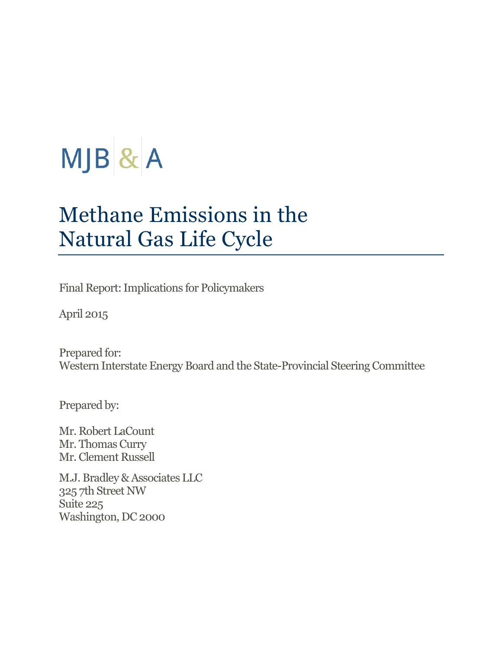# MJB & A

# Methane Emissions in the Natural Gas Life Cycle

Final Report: Implications for Policymakers

April 2015

Prepared for: Western Interstate Energy Board and the State-Provincial Steering Committee

Prepared by:

Mr. Robert LaCount Mr. Thomas Curry Mr. Clement Russell

M.J. Bradley & Associates LLC 325 7th Street NW Suite 225 Washington, DC 2000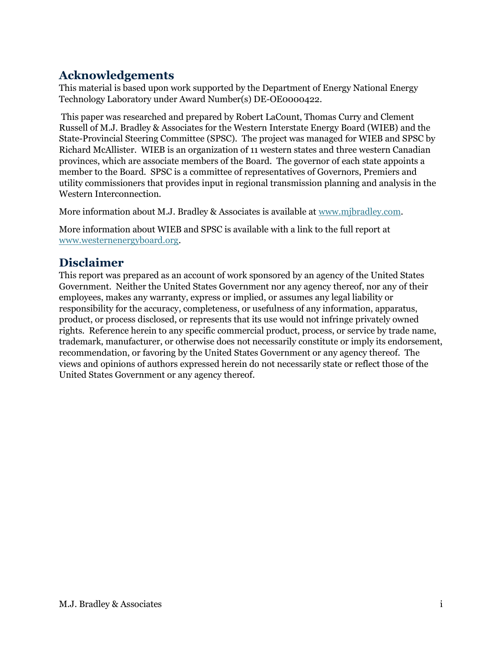# **Acknowledgements**

This material is based upon work supported by the Department of Energy National Energy Technology Laboratory under Award Number(s) DE-OE0000422.

This paper was researched and prepared by Robert LaCount, Thomas Curry and Clement Russell of M.J. Bradley & Associates for the Western Interstate Energy Board (WIEB) and the State-Provincial Steering Committee (SPSC). The project was managed for WIEB and SPSC by Richard McAllister. WIEB is an organization of 11 western states and three western Canadian provinces, which are associate members of the Board. The governor of each state appoints a member to the Board. SPSC is a committee of representatives of Governors, Premiers and utility commissioners that provides input in regional transmission planning and analysis in the Western Interconnection.

More information about M.J. Bradley & Associates is available at [www.mjbradley.com.](http://www.mjbradley.com/)

More information about WIEB and SPSC is available with a link to the full report at [www.westernenergyboard.org.](http://www.westernenergyboard.org/)

## **Disclaimer**

This report was prepared as an account of work sponsored by an agency of the United States Government. Neither the United States Government nor any agency thereof, nor any of their employees, makes any warranty, express or implied, or assumes any legal liability or responsibility for the accuracy, completeness, or usefulness of any information, apparatus, product, or process disclosed, or represents that its use would not infringe privately owned rights. Reference herein to any specific commercial product, process, or service by trade name, trademark, manufacturer, or otherwise does not necessarily constitute or imply its endorsement, recommendation, or favoring by the United States Government or any agency thereof. The views and opinions of authors expressed herein do not necessarily state or reflect those of the United States Government or any agency thereof.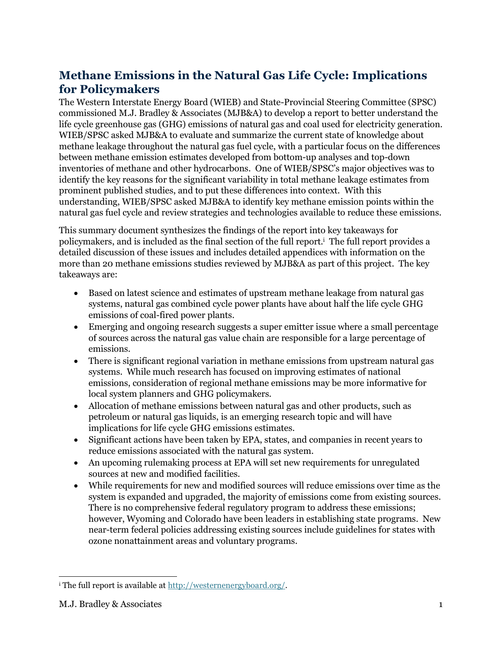# **Methane Emissions in the Natural Gas Life Cycle: Implications for Policymakers**

The Western Interstate Energy Board (WIEB) and State-Provincial Steering Committee (SPSC) commissioned M.J. Bradley & Associates (MJB&A) to develop a report to better understand the life cycle greenhouse gas (GHG) emissions of natural gas and coal used for electricity generation. WIEB/SPSC asked MJB&A to evaluate and summarize the current state of knowledge about methane leakage throughout the natural gas fuel cycle, with a particular focus on the differences between methane emission estimates developed from bottom-up analyses and top-down inventories of methane and other hydrocarbons. One of WIEB/SPSC's major objectives was to identify the key reasons for the significant variability in total methane leakage estimates from prominent published studies, and to put these differences into context. With this understanding, WIEB/SPSC asked MJB&A to identify key methane emission points within the natural gas fuel cycle and review strategies and technologies available to reduce these emissions.

This summary document synthesizes the findings of the report into key takeaways for policymakers, and is included as the final section of the full report.<sup>i</sup> The full report provides a detailed discussion of these issues and includes detailed appendices with information on the more than 20 methane emissions studies reviewed by MJB&A as part of this project. The key takeaways are:

- Based on latest science and estimates of upstream methane leakage from natural gas systems, natural gas combined cycle power plants have about half the life cycle GHG emissions of coal-fired power plants.
- Emerging and ongoing research suggests a super emitter issue where a small percentage of sources across the natural gas value chain are responsible for a large percentage of emissions.
- There is significant regional variation in methane emissions from upstream natural gas systems. While much research has focused on improving estimates of national emissions, consideration of regional methane emissions may be more informative for local system planners and GHG policymakers.
- Allocation of methane emissions between natural gas and other products, such as petroleum or natural gas liquids, is an emerging research topic and will have implications for life cycle GHG emissions estimates.
- Significant actions have been taken by EPA, states, and companies in recent years to reduce emissions associated with the natural gas system.
- An upcoming rulemaking process at EPA will set new requirements for unregulated sources at new and modified facilities.
- While requirements for new and modified sources will reduce emissions over time as the system is expanded and upgraded, the majority of emissions come from existing sources. There is no comprehensive federal regulatory program to address these emissions; however, Wyoming and Colorado have been leaders in establishing state programs. New near-term federal policies addressing existing sources include guidelines for states with ozone nonattainment areas and voluntary programs.

 $\overline{a}$ <sup>i</sup> The full report is available at [http://westernenergyboard.org/.](http://westernenergyboard.org/)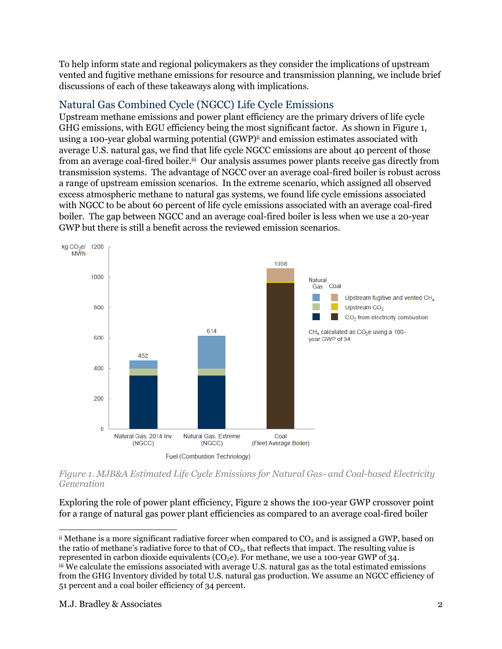To help inform state and regional policymakers as they consider the implications of upstream vented and fugitive methane emissions for resource and transmission planning, we include brief discussions of each of these takeaways along with implications.

#### Natural Gas Combined Cycle (NGCC) Life Cycle Emissions

Upstream methane emissions and power plant efficiency are the primary drivers of life cycle GHG emissions, with EGU efficiency being the most significant factor. As shown i[n Figure 1,](#page-3-0) using a 100-year global warming potential (GWP) ii and emission estimates associated with average U.S. natural gas, we find that life cycle NGCC emissions are about 40 percent of those from an average coal-fired boiler.iii Our analysis assumes power plants receive gas directly from transmission systems. The advantage of NGCC over an average coal-fired boiler is robust across a range of upstream emission scenarios. In the extreme scenario, which assigned all observed excess atmospheric methane to natural gas systems, we found life cycle emissions associated with NGCC to be about 60 percent of life cycle emissions associated with an average coal-fired boiler. The gap between NGCC and an average coal-fired boiler is less when we use a 20-year GWP but there is still a benefit across the reviewed emission scenarios.



<span id="page-3-0"></span>*Figure 1. MJB&A Estimated Life Cycle Emissions for Natural Gas- and Coal-based Electricity Generation*

Exploring the role of power plant efficiency, [Figure 2](#page-4-0) shows the 100-year GWP crossover point for a range of natural gas power plant efficiencies as compared to an average coal-fired boiler

 $\overline{a}$  $\ddot{\text{ii}}$  Methane is a more significant radiative forcer when compared to CO<sub>2</sub> and is assigned a GWP, based on the ratio of methane's radiative force to that of  $CO<sub>2</sub>$ , that reflects that impact. The resulting value is represented in carbon dioxide equivalents ( $CO<sub>2</sub>e$ ). For methane, we use a 100-year GWP of 34. iii We calculate the emissions associated with average U.S. natural gas as the total estimated emissions from the GHG Inventory divided by total U.S. natural gas production. We assume an NGCC efficiency of 51 percent and a coal boiler efficiency of 34 percent.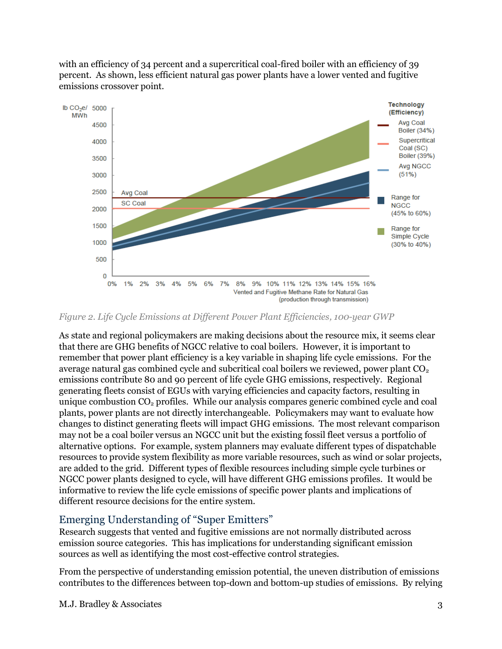with an efficiency of 34 percent and a supercritical coal-fired boiler with an efficiency of 39 percent. As shown, less efficient natural gas power plants have a lower vented and fugitive emissions crossover point.



<span id="page-4-0"></span>*Figure 2. Life Cycle Emissions at Different Power Plant Efficiencies, 100-year GWP*

As state and regional policymakers are making decisions about the resource mix, it seems clear that there are GHG benefits of NGCC relative to coal boilers. However, it is important to remember that power plant efficiency is a key variable in shaping life cycle emissions. For the average natural gas combined cycle and subcritical coal boilers we reviewed, power plant  $CO<sub>2</sub>$ emissions contribute 80 and 90 percent of life cycle GHG emissions, respectively. Regional generating fleets consist of EGUs with varying efficiencies and capacity factors, resulting in unique combustion  $CO<sub>2</sub>$  profiles. While our analysis compares generic combined cycle and coal plants, power plants are not directly interchangeable. Policymakers may want to evaluate how changes to distinct generating fleets will impact GHG emissions. The most relevant comparison may not be a coal boiler versus an NGCC unit but the existing fossil fleet versus a portfolio of alternative options. For example, system planners may evaluate different types of dispatchable resources to provide system flexibility as more variable resources, such as wind or solar projects, are added to the grid. Different types of flexible resources including simple cycle turbines or NGCC power plants designed to cycle, will have different GHG emissions profiles. It would be informative to review the life cycle emissions of specific power plants and implications of different resource decisions for the entire system.

#### Emerging Understanding of "Super Emitters"

Research suggests that vented and fugitive emissions are not normally distributed across emission source categories. This has implications for understanding significant emission sources as well as identifying the most cost-effective control strategies.

From the perspective of understanding emission potential, the uneven distribution of emissions contributes to the differences between top-down and bottom-up studies of emissions. By relying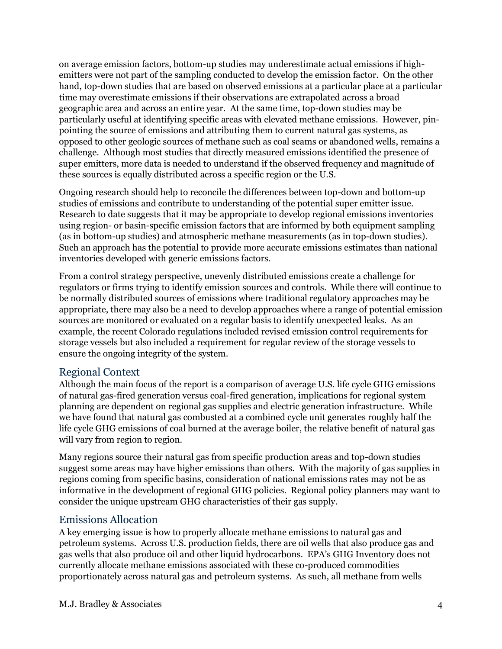on average emission factors, bottom-up studies may underestimate actual emissions if highemitters were not part of the sampling conducted to develop the emission factor. On the other hand, top-down studies that are based on observed emissions at a particular place at a particular time may overestimate emissions if their observations are extrapolated across a broad geographic area and across an entire year. At the same time, top-down studies may be particularly useful at identifying specific areas with elevated methane emissions. However, pinpointing the source of emissions and attributing them to current natural gas systems, as opposed to other geologic sources of methane such as coal seams or abandoned wells, remains a challenge. Although most studies that directly measured emissions identified the presence of super emitters, more data is needed to understand if the observed frequency and magnitude of these sources is equally distributed across a specific region or the U.S.

Ongoing research should help to reconcile the differences between top-down and bottom-up studies of emissions and contribute to understanding of the potential super emitter issue. Research to date suggests that it may be appropriate to develop regional emissions inventories using region- or basin-specific emission factors that are informed by both equipment sampling (as in bottom-up studies) and atmospheric methane measurements (as in top-down studies). Such an approach has the potential to provide more accurate emissions estimates than national inventories developed with generic emissions factors.

From a control strategy perspective, unevenly distributed emissions create a challenge for regulators or firms trying to identify emission sources and controls. While there will continue to be normally distributed sources of emissions where traditional regulatory approaches may be appropriate, there may also be a need to develop approaches where a range of potential emission sources are monitored or evaluated on a regular basis to identify unexpected leaks. As an example, the recent Colorado regulations included revised emission control requirements for storage vessels but also included a requirement for regular review of the storage vessels to ensure the ongoing integrity of the system.

#### Regional Context

Although the main focus of the report is a comparison of average U.S. life cycle GHG emissions of natural gas-fired generation versus coal-fired generation, implications for regional system planning are dependent on regional gas supplies and electric generation infrastructure. While we have found that natural gas combusted at a combined cycle unit generates roughly half the life cycle GHG emissions of coal burned at the average boiler, the relative benefit of natural gas will vary from region to region.

Many regions source their natural gas from specific production areas and top-down studies suggest some areas may have higher emissions than others. With the majority of gas supplies in regions coming from specific basins, consideration of national emissions rates may not be as informative in the development of regional GHG policies. Regional policy planners may want to consider the unique upstream GHG characteristics of their gas supply.

#### Emissions Allocation

A key emerging issue is how to properly allocate methane emissions to natural gas and petroleum systems. Across U.S. production fields, there are oil wells that also produce gas and gas wells that also produce oil and other liquid hydrocarbons. EPA's GHG Inventory does not currently allocate methane emissions associated with these co-produced commodities proportionately across natural gas and petroleum systems. As such, all methane from wells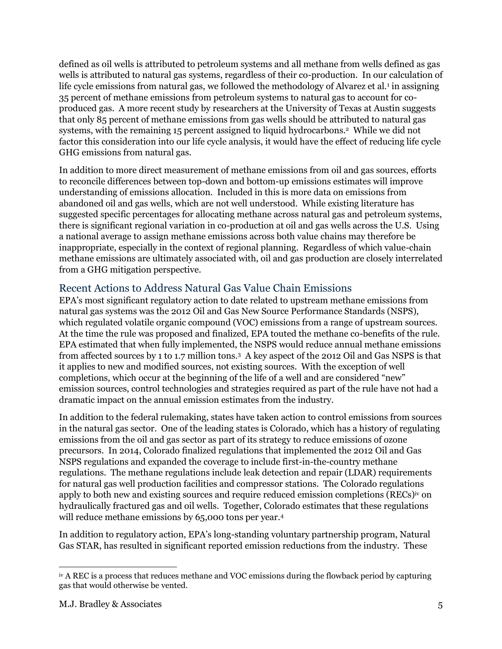defined as oil wells is attributed to petroleum systems and all methane from wells defined as gas wells is attributed to natural gas systems, regardless of their co-production. In our calculation of life cycle emissions from natural gas, we followed the methodology of Alvarez et al.<sup>1</sup> in assigning 35 percent of methane emissions from petroleum systems to natural gas to account for coproduced gas. A more recent study by researchers at the University of Texas at Austin suggests that only 85 percent of methane emissions from gas wells should be attributed to natural gas systems, with the remaining 15 percent assigned to liquid hydrocarbons.<sup>2</sup> While we did not factor this consideration into our life cycle analysis, it would have the effect of reducing life cycle GHG emissions from natural gas.

In addition to more direct measurement of methane emissions from oil and gas sources, efforts to reconcile differences between top-down and bottom-up emissions estimates will improve understanding of emissions allocation. Included in this is more data on emissions from abandoned oil and gas wells, which are not well understood. While existing literature has suggested specific percentages for allocating methane across natural gas and petroleum systems, there is significant regional variation in co-production at oil and gas wells across the U.S. Using a national average to assign methane emissions across both value chains may therefore be inappropriate, especially in the context of regional planning. Regardless of which value-chain methane emissions are ultimately associated with, oil and gas production are closely interrelated from a GHG mitigation perspective.

#### Recent Actions to Address Natural Gas Value Chain Emissions

EPA's most significant regulatory action to date related to upstream methane emissions from natural gas systems was the 2012 Oil and Gas New Source Performance Standards (NSPS), which regulated volatile organic compound (VOC) emissions from a range of upstream sources. At the time the rule was proposed and finalized, EPA touted the methane co-benefits of the rule. EPA estimated that when fully implemented, the NSPS would reduce annual methane emissions from affected sources by 1 to 1.7 million tons.<sup>3</sup> A key aspect of the 2012 Oil and Gas NSPS is that it applies to new and modified sources, not existing sources. With the exception of well completions, which occur at the beginning of the life of a well and are considered "new" emission sources, control technologies and strategies required as part of the rule have not had a dramatic impact on the annual emission estimates from the industry.

In addition to the federal rulemaking, states have taken action to control emissions from sources in the natural gas sector. One of the leading states is Colorado, which has a history of regulating emissions from the oil and gas sector as part of its strategy to reduce emissions of ozone precursors. In 2014, Colorado finalized regulations that implemented the 2012 Oil and Gas NSPS regulations and expanded the coverage to include first-in-the-country methane regulations. The methane regulations include leak detection and repair (LDAR) requirements for natural gas well production facilities and compressor stations. The Colorado regulations apply to both new and existing sources and require reduced emission completions (RECs) iv on hydraulically fractured gas and oil wells. Together, Colorado estimates that these regulations will reduce methane emissions by 65,000 tons per year.<sup>4</sup>

In addition to regulatory action, EPA's long-standing voluntary partnership program, Natural Gas STAR, has resulted in significant reported emission reductions from the industry. These

 $\overline{a}$ iv A REC is a process that reduces methane and VOC emissions during the flowback period by capturing gas that would otherwise be vented.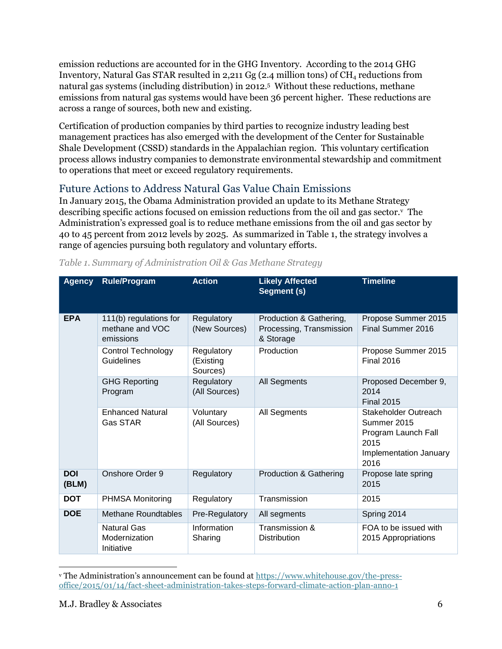emission reductions are accounted for in the GHG Inventory. According to the 2014 GHG Inventory, Natural Gas STAR resulted in 2,211 Gg (2.4 million tons) of  $CH_4$  reductions from natural gas systems (including distribution) in 2012.<sup>5</sup> Without these reductions, methane emissions from natural gas systems would have been 36 percent higher. These reductions are across a range of sources, both new and existing.

Certification of production companies by third parties to recognize industry leading best management practices has also emerged with the development of the Center for Sustainable Shale Development (CSSD) standards in the Appalachian region. This voluntary certification process allows industry companies to demonstrate environmental stewardship and commitment to operations that meet or exceed regulatory requirements.

#### Future Actions to Address Natural Gas Value Chain Emissions

In January 2015, the Obama Administration provided an update to its Methane Strategy describing specific actions focused on emission reductions from the oil and gas sector. $v$  The Administration's expressed goal is to reduce methane emissions from the oil and gas sector by 40 to 45 percent from 2012 levels by 2025. As summarized in [Table 1,](#page-7-0) the strategy involves a range of agencies pursuing both regulatory and voluntary efforts.

| <b>Agency</b>       | <b>Rule/Program</b>                                    | <b>Action</b>                       | <b>Likely Affected</b><br>Segment (s)                            | <b>Timeline</b>                                                                                      |  |
|---------------------|--------------------------------------------------------|-------------------------------------|------------------------------------------------------------------|------------------------------------------------------------------------------------------------------|--|
| <b>EPA</b>          | 111(b) regulations for<br>methane and VOC<br>emissions | Regulatory<br>(New Sources)         | Production & Gathering,<br>Processing, Transmission<br>& Storage | Propose Summer 2015<br>Final Summer 2016                                                             |  |
|                     | <b>Control Technology</b><br>Guidelines                | Regulatory<br>(Existing<br>Sources) | Production                                                       | Propose Summer 2015<br><b>Final 2016</b>                                                             |  |
|                     | <b>GHG Reporting</b><br>Program                        | Regulatory<br>(All Sources)         | All Segments                                                     | Proposed December 9,<br>2014<br><b>Final 2015</b>                                                    |  |
|                     | <b>Enhanced Natural</b><br><b>Gas STAR</b>             | Voluntary<br>(All Sources)          | All Segments                                                     | Stakeholder Outreach<br>Summer 2015<br>Program Launch Fall<br>2015<br>Implementation January<br>2016 |  |
| <b>DOI</b><br>(BLM) | Onshore Order 9                                        | Regulatory                          | <b>Production &amp; Gathering</b>                                | Propose late spring<br>2015                                                                          |  |
| <b>DOT</b>          | <b>PHMSA Monitoring</b>                                | Regulatory                          | Transmission                                                     | 2015                                                                                                 |  |
| <b>DOE</b>          | <b>Methane Roundtables</b>                             | Pre-Regulatory                      | All segments                                                     | Spring 2014                                                                                          |  |
|                     | <b>Natural Gas</b><br>Modernization<br>Initiative      | Information<br>Sharing              | Transmission &<br><b>Distribution</b>                            | FOA to be issued with<br>2015 Appropriations                                                         |  |

<span id="page-7-0"></span>

|  |  |  |  | Table 1. Summary of Administration Oil & Gas Methane Strategy |  |
|--|--|--|--|---------------------------------------------------------------|--|
|  |  |  |  |                                                               |  |

 $\overline{a}$ <sup>v</sup> The Administration's announcement can be found at [https://www.whitehouse.gov/the-press](https://www.whitehouse.gov/the-press-office/2015/01/14/fact-sheet-administration-takes-steps-forward-climate-action-plan-anno-1)[office/2015/01/14/fact-sheet-administration-takes-steps-forward-climate-action-plan-anno-1](https://www.whitehouse.gov/the-press-office/2015/01/14/fact-sheet-administration-takes-steps-forward-climate-action-plan-anno-1)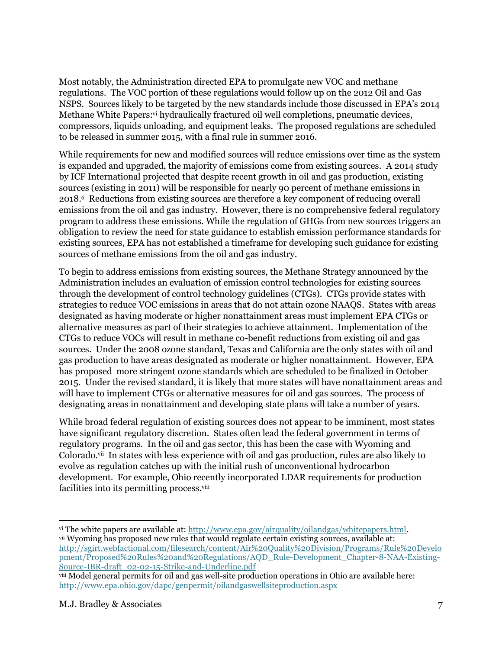Most notably, the Administration directed EPA to promulgate new VOC and methane regulations. The VOC portion of these regulations would follow up on the 2012 Oil and Gas NSPS. Sources likely to be targeted by the new standards include those discussed in EPA's 2014 Methane White Papers:<sup>vi</sup> hydraulically fractured oil well completions, pneumatic devices, compressors, liquids unloading, and equipment leaks. The proposed regulations are scheduled to be released in summer 2015, with a final rule in summer 2016.

While requirements for new and modified sources will reduce emissions over time as the system is expanded and upgraded, the majority of emissions come from existing sources. A 2014 study by ICF International projected that despite recent growth in oil and gas production, existing sources (existing in 2011) will be responsible for nearly 90 percent of methane emissions in 2018.<sup>6</sup> Reductions from existing sources are therefore a key component of reducing overall emissions from the oil and gas industry. However, there is no comprehensive federal regulatory program to address these emissions. While the regulation of GHGs from new sources triggers an obligation to review the need for state guidance to establish emission performance standards for existing sources, EPA has not established a timeframe for developing such guidance for existing sources of methane emissions from the oil and gas industry.

To begin to address emissions from existing sources, the Methane Strategy announced by the Administration includes an evaluation of emission control technologies for existing sources through the development of control technology guidelines (CTGs). CTGs provide states with strategies to reduce VOC emissions in areas that do not attain ozone NAAQS. States with areas designated as having moderate or higher nonattainment areas must implement EPA CTGs or alternative measures as part of their strategies to achieve attainment. Implementation of the CTGs to reduce VOCs will result in methane co-benefit reductions from existing oil and gas sources. Under the 2008 ozone standard, Texas and California are the only states with oil and gas production to have areas designated as moderate or higher nonattainment. However, EPA has proposed more stringent ozone standards which are scheduled to be finalized in October 2015. Under the revised standard, it is likely that more states will have nonattainment areas and will have to implement CTGs or alternative measures for oil and gas sources. The process of designating areas in nonattainment and developing state plans will take a number of years.

While broad federal regulation of existing sources does not appear to be imminent, most states have significant regulatory discretion. States often lead the federal government in terms of regulatory programs. In the oil and gas sector, this has been the case with Wyoming and Colorado.<sup>vii</sup> In states with less experience with oil and gas production, rules are also likely to evolve as regulation catches up with the initial rush of unconventional hydrocarbon development. For example, Ohio recently incorporated LDAR requirements for production facilities into its permitting process.<sup>viii</sup>

 $\overline{a}$ vi The white papers are available at[: http://www.epa.gov/airquality/oilandgas/whitepapers.html.](http://www.epa.gov/airquality/oilandgas/whitepapers.html) vii Wyoming has proposed new rules that would regulate certain existing sources, available at: [http://sgirt.webfactional.com/filesearch/content/Air%20Quality%20Division/Programs/Rule%20Develo](http://sgirt.webfactional.com/filesearch/content/Air%20Quality%20Division/Programs/Rule%20Development/Proposed%20Rules%20and%20Regulations/AQD_Rule-Development_Chapter-8-NAA-Existing-Source-IBR-draft_02-02-15-Strike-and-Underline.pdf) [pment/Proposed%20Rules%20and%20Regulations/AQD\\_Rule-Development\\_Chapter-8-NAA-Existing-](http://sgirt.webfactional.com/filesearch/content/Air%20Quality%20Division/Programs/Rule%20Development/Proposed%20Rules%20and%20Regulations/AQD_Rule-Development_Chapter-8-NAA-Existing-Source-IBR-draft_02-02-15-Strike-and-Underline.pdf)

[Source-IBR-draft\\_02-02-15-Strike-and-Underline.pdf](http://sgirt.webfactional.com/filesearch/content/Air%20Quality%20Division/Programs/Rule%20Development/Proposed%20Rules%20and%20Regulations/AQD_Rule-Development_Chapter-8-NAA-Existing-Source-IBR-draft_02-02-15-Strike-and-Underline.pdf) viii Model general permits for oil and gas well-site production operations in Ohio are available here: <http://www.epa.ohio.gov/dapc/genpermit/oilandgaswellsiteproduction.aspx>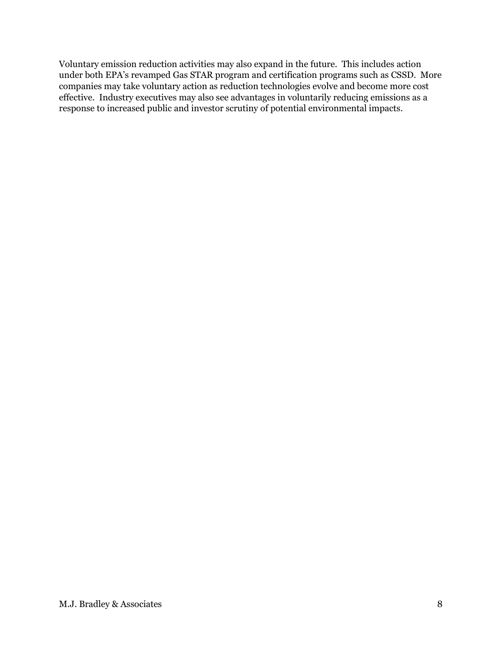Voluntary emission reduction activities may also expand in the future. This includes action under both EPA's revamped Gas STAR program and certification programs such as CSSD. More companies may take voluntary action as reduction technologies evolve and become more cost effective. Industry executives may also see advantages in voluntarily reducing emissions as a response to increased public and investor scrutiny of potential environmental impacts.